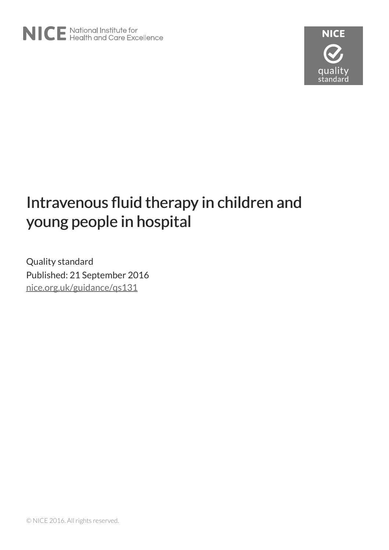

# Intravenous fluid therapy in children and young people in hospital

Quality standard Published: 21 September 2016 [nice.org.uk/guidance/qs131](http://nice.org.uk/guidance/qs131)

© NICE 2016. All rights reserved.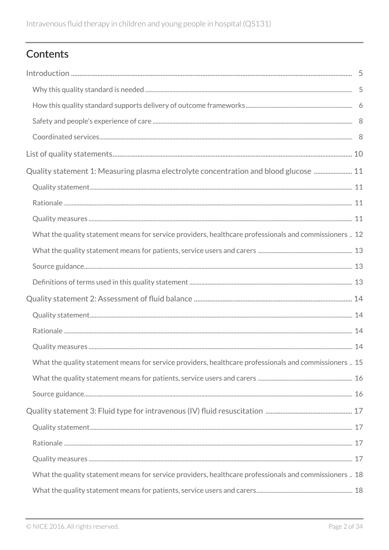# Contents

| Quality statement 1: Measuring plasma electrolyte concentration and blood glucose  11                  |  |
|--------------------------------------------------------------------------------------------------------|--|
|                                                                                                        |  |
|                                                                                                        |  |
|                                                                                                        |  |
| What the quality statement means for service providers, healthcare professionals and commissioners  12 |  |
|                                                                                                        |  |
|                                                                                                        |  |
|                                                                                                        |  |
|                                                                                                        |  |
|                                                                                                        |  |
|                                                                                                        |  |
|                                                                                                        |  |
| What the quality statement means for service providers, healthcare professionals and commissioners  15 |  |
|                                                                                                        |  |
|                                                                                                        |  |
|                                                                                                        |  |
|                                                                                                        |  |
|                                                                                                        |  |
|                                                                                                        |  |
| What the quality statement means for service providers, healthcare professionals and commissioners  18 |  |
|                                                                                                        |  |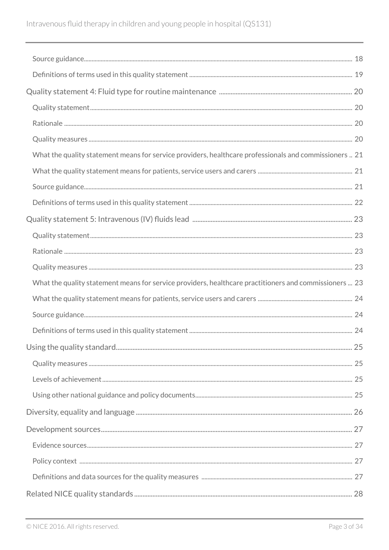| What the quality statement means for service providers, healthcare professionals and commissioners  21 |  |
|--------------------------------------------------------------------------------------------------------|--|
|                                                                                                        |  |
|                                                                                                        |  |
|                                                                                                        |  |
|                                                                                                        |  |
|                                                                                                        |  |
|                                                                                                        |  |
|                                                                                                        |  |
|                                                                                                        |  |
| What the quality statement means for service providers, healthcare practitioners and commissioners  23 |  |
|                                                                                                        |  |
|                                                                                                        |  |
|                                                                                                        |  |
|                                                                                                        |  |
|                                                                                                        |  |
|                                                                                                        |  |
|                                                                                                        |  |
|                                                                                                        |  |
|                                                                                                        |  |
|                                                                                                        |  |
|                                                                                                        |  |
|                                                                                                        |  |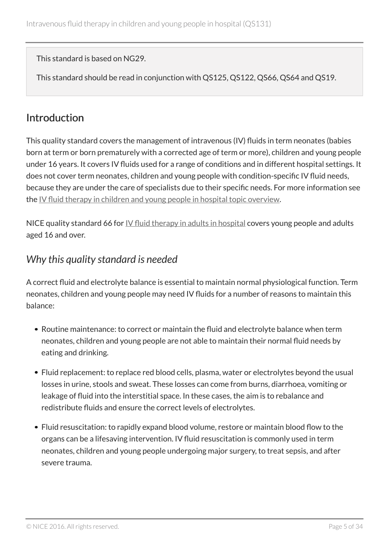This standard is based on NG29.

This standard should be read in conjunction with QS125, QS122, QS66, QS64 and QS19.

# <span id="page-4-0"></span>**Introduction**

This quality standard covers the management of intravenous (IV) fluids in term neonates (babies born at term or born prematurely with a corrected age of term or more), children and young people under 16 years. It covers IV fluids used for a range of conditions and in different hospital settings. It does not cover term neonates, children and young people with condition-specific IV fluid needs, because they are under the care of specialists due to their specific needs. For more information see the IV [fluid therapy in children and young people in hospital topic overview.](https://www.nice.org.uk/guidance/qs131/documents)

NICE quality standard 66 for  $\underline{IV}$  [fluid therapy in adults in hospital](http://www.nice.org.uk/guidance/qs66) covers young people and adults aged 16 and over.

### <span id="page-4-1"></span>*Why this quality standard is needed*

A correct fluid and electrolyte balance is essential to maintain normal physiological function. Term neonates, children and young people may need IV fluids for a number of reasons to maintain this balance:

- Routine maintenance: to correct or maintain the fluid and electrolyte balance when term neonates, children and young people are not able to maintain their normal fluid needs by eating and drinking.
- Fluid replacement: to replace red blood cells, plasma, water or electrolytes beyond the usual losses in urine, stools and sweat. These losses can come from burns, diarrhoea, vomiting or leakage of fluid into the interstitial space. In these cases, the aim is to rebalance and redistribute fluids and ensure the correct levels of electrolytes.
- Fluid resuscitation: to rapidly expand blood volume, restore or maintain blood flow to the organs can be a lifesaving intervention. IV fluid resuscitation is commonly used in term neonates, children and young people undergoing major surgery, to treat sepsis, and after severe trauma.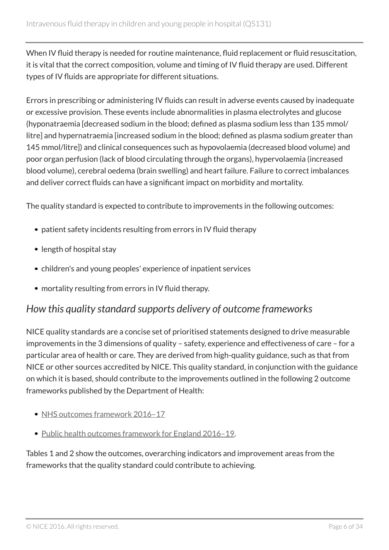When IV fluid therapy is needed for routine maintenance, fluid replacement or fluid resuscitation, it is vital that the correct composition, volume and timing of IV fluid therapy are used. Different types of IV fluids are appropriate for different situations.

Errors in prescribing or administering IV fluids can result in adverse events caused by inadequate or excessive provision. These events include abnormalities in plasma electrolytes and glucose (hyponatraemia [decreased sodium in the blood; defined as plasma sodium less than 135 mmol/ litre] and hypernatraemia [increased sodium in the blood; defined as plasma sodium greater than 145 mmol/litre]) and clinical consequences such as hypovolaemia (decreased blood volume) and poor organ perfusion (lack of blood circulating through the organs), hypervolaemia (increased blood volume), cerebral oedema (brain swelling) and heart failure. Failure to correct imbalances and deliver correct fluids can have a significant impact on morbidity and mortality.

The quality standard is expected to contribute to improvements in the following outcomes:

- patient safety incidents resulting from errors in IV fluid therapy
- length of hospital stay
- children's and young peoples' experience of inpatient services
- mortality resulting from errors in IV fluid therapy.

### <span id="page-5-0"></span>*How this quality standard supports delivery of outcome frameworks*

NICE quality standards are a concise set of prioritised statements designed to drive measurable improvements in the 3 dimensions of quality – safety, experience and effectiveness of care – for a particular area of health or care. They are derived from high-quality guidance, such as that from NICE or other sources accredited by NICE. This quality standard, in conjunction with the guidance on which it is based, should contribute to the improvements outlined in the following 2 outcome frameworks published by the Department of Health:

- NHS outcomes framework 2016-17
- [Public health outcomes framework for England 2016–19.](https://www.gov.uk/government/consultations/reviewing-the-indicators-in-the-public-health-outcome-framework)

Tables 1 and 2 show the outcomes, overarching indicators and improvement areas from the frameworks that the quality standard could contribute to achieving.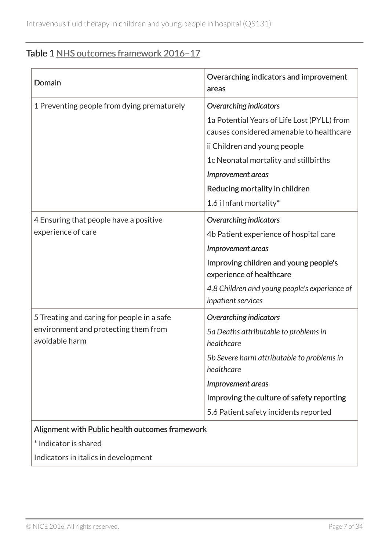### Table 1 NHS outcomes framework 2016-17

| Domain                                                                                               | Overarching indicators and improvement<br>areas                                                                                                                                                                                                                                     |
|------------------------------------------------------------------------------------------------------|-------------------------------------------------------------------------------------------------------------------------------------------------------------------------------------------------------------------------------------------------------------------------------------|
| 1 Preventing people from dying prematurely                                                           | <b>Overarching indicators</b><br>1a Potential Years of Life Lost (PYLL) from<br>causes considered amenable to healthcare<br>ii Children and young people<br>1c Neonatal mortality and stillbirths<br>Improvement areas<br>Reducing mortality in children<br>1.6 i Infant mortality* |
| 4 Ensuring that people have a positive<br>experience of care                                         | <b>Overarching indicators</b><br>4b Patient experience of hospital care<br><b>Improvement areas</b><br>Improving children and young people's<br>experience of healthcare<br>4.8 Children and young people's experience of<br>inpatient services                                     |
| 5 Treating and caring for people in a safe<br>environment and protecting them from<br>avoidable harm | <b>Overarching indicators</b><br>5a Deaths attributable to problems in<br>healthcare<br>5b Severe harm attributable to problems in<br>healthcare<br><b>Improvement areas</b><br>Improving the culture of safety reporting<br>5.6 Patient safety incidents reported                  |
| Alignment with Public health outcomes framework<br>* Indicator is shared                             |                                                                                                                                                                                                                                                                                     |

Indicators in italics in development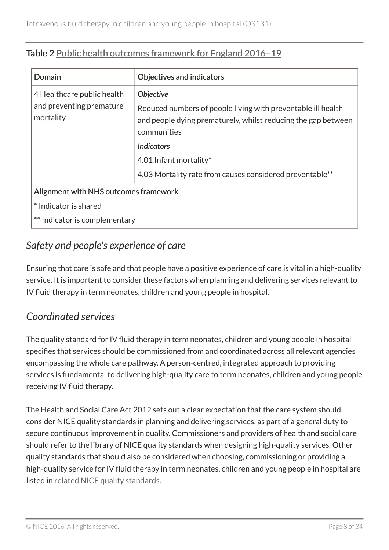| Domain                                                              | <b>Objectives and indicators</b>                                                                                                                                                                                                                                            |  |
|---------------------------------------------------------------------|-----------------------------------------------------------------------------------------------------------------------------------------------------------------------------------------------------------------------------------------------------------------------------|--|
| 4 Healthcare public health<br>and preventing premature<br>mortality | <b>Objective</b><br>Reduced numbers of people living with preventable ill health<br>and people dying prematurely, whilst reducing the gap between<br>communities<br><b>Indicators</b><br>4.01 Infant mortality*<br>4.03 Mortality rate from causes considered preventable** |  |
| Alignment with NHS outcomes framework                               |                                                                                                                                                                                                                                                                             |  |
| * Indicator is shared                                               |                                                                                                                                                                                                                                                                             |  |
| ** Indicator is complementary                                       |                                                                                                                                                                                                                                                                             |  |

#### Table 2 [Public health outcomes framework for England 2016–19](https://www.gov.uk/government/consultations/reviewing-the-indicators-in-the-public-health-outcome-framework)

# <span id="page-7-0"></span>*Safety and people's experience of care*

Ensuring that care is safe and that people have a positive experience of care is vital in a high-quality service. It is important to consider these factors when planning and delivering services relevant to IV fluid therapy in term neonates, children and young people in hospital.

# <span id="page-7-1"></span>*Coordinated services*

The quality standard for IV fluid therapy in term neonates, children and young people in hospital specifies that services should be commissioned from and coordinated across all relevant agencies encompassing the whole care pathway. A person-centred, integrated approach to providing services is fundamental to delivering high-quality care to term neonates, children and young people receiving IV fluid therapy.

The Health and Social Care Act 2012 sets out a clear expectation that the care system should consider NICE quality standards in planning and delivering services, as part of a general duty to secure continuous improvement in quality. Commissioners and providers of health and social care should refer to the library of NICE quality standards when designing high-quality services. Other quality standards that should also be considered when choosing, commissioning or providing a high-quality service for IV fluid therapy in term neonates, children and young people in hospital are listed in [related NICE quality standards](#page-27-0).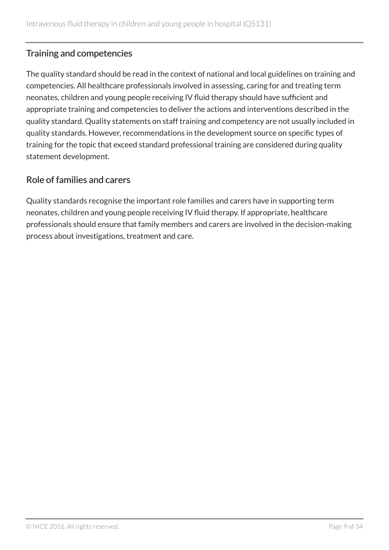#### Training and competencies

The quality standard should be read in the context of national and local guidelines on training and competencies. All healthcare professionals involved in assessing, caring for and treating term neonates, children and young people receiving IV fluid therapy should have sufficient and appropriate training and competencies to deliver the actions and interventions described in the quality standard. Quality statements on staff training and competency are not usually included in quality standards. However, recommendations in the development source on specific types of training for the topic that exceed standard professional training are considered during quality statement development.

#### Role of families and carers

Quality standards recognise the important role families and carers have in supporting term neonates, children and young people receiving IV fluid therapy. If appropriate, healthcare professionals should ensure that family members and carers are involved in the decision-making process about investigations, treatment and care.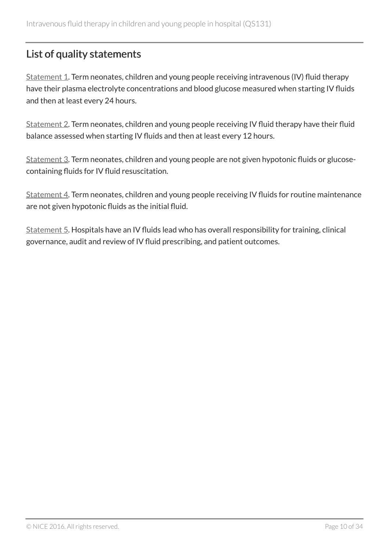# <span id="page-9-0"></span>List of quality statements

[Statement 1](#page-10-0). Term neonates, children and young people receiving intravenous (IV) fluid therapy have their plasma electrolyte concentrations and blood glucose measured when starting IV fluids and then at least every 24 hours.

[Statement 2](#page-13-0). Term neonates, children and young people receiving IV fluid therapy have their fluid balance assessed when starting IV fluids and then at least every 12 hours.

[Statement 3](#page-16-0). Term neonates, children and young people are not given hypotonic fluids or glucosecontaining fluids for IV fluid resuscitation.

[Statement 4](#page-19-0). Term neonates, children and young people receiving IV fluids for routine maintenance are not given hypotonic fluids as the initial fluid.

[Statement 5](#page-22-0). Hospitals have an IV fluids lead who has overall responsibility for training, clinical governance, audit and review of IV fluid prescribing, and patient outcomes.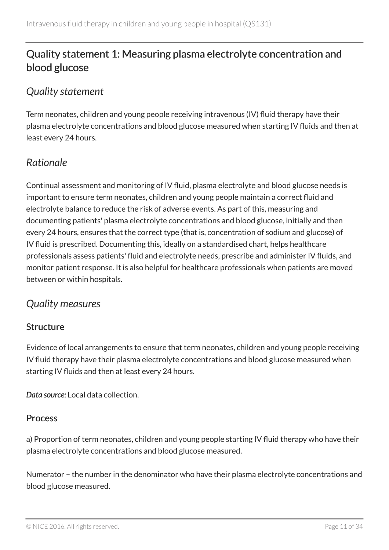# <span id="page-10-0"></span>Quality statement 1: Measuring plasma electrolyte concentration and blood glucose

### <span id="page-10-1"></span>*Quality statement*

Term neonates, children and young people receiving intravenous (IV) fluid therapy have their plasma electrolyte concentrations and blood glucose measured when starting IV fluids and then at least every 24 hours.

### <span id="page-10-2"></span>*Rationale*

Continual assessment and monitoring of IV fluid, plasma electrolyte and blood glucose needs is important to ensure term neonates, children and young people maintain a correct fluid and electrolyte balance to reduce the risk of adverse events. As part of this, measuring and documenting patients' plasma electrolyte concentrations and blood glucose, initially and then every 24 hours, ensures that the correct type (that is, concentration of sodium and glucose) of IV fluid is prescribed. Documenting this, ideally on a standardised chart, helps healthcare professionals assess patients' fluid and electrolyte needs, prescribe and administer IV fluids, and monitor patient response. It is also helpful for healthcare professionals when patients are moved between or within hospitals.

### <span id="page-10-3"></span>*Quality measures*

#### Structure

Evidence of local arrangements to ensure that term neonates, children and young people receiving IV fluid therapy have their plasma electrolyte concentrations and blood glucose measured when starting IV fluids and then at least every 24 hours.

*Data source:* Local data collection.

#### Process

a) Proportion of term neonates, children and young people starting IV fluid therapy who have their plasma electrolyte concentrations and blood glucose measured.

Numerator – the number in the denominator who have their plasma electrolyte concentrations and blood glucose measured.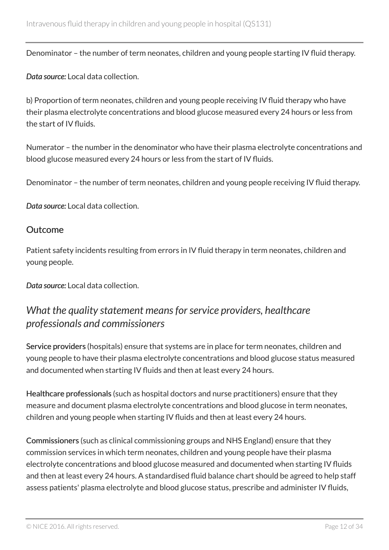Denominator – the number of term neonates, children and young people starting IV fluid therapy.

*Data source:* Local data collection.

b) Proportion of term neonates, children and young people receiving IV fluid therapy who have their plasma electrolyte concentrations and blood glucose measured every 24 hours or less from the start of IV fluids.

Numerator – the number in the denominator who have their plasma electrolyte concentrations and blood glucose measured every 24 hours or less from the start of IV fluids.

Denominator – the number of term neonates, children and young people receiving IV fluid therapy.

*Data source:* Local data collection.

#### Outcome

Patient safety incidents resulting from errors in IV fluid therapy in term neonates, children and young people.

*Data source:* Local data collection.

### <span id="page-11-0"></span>*What the quality statement means for service providers, healthcare professionals and commissioners*

Service providers (hospitals) ensure that systems are in place for term neonates, children and young people to have their plasma electrolyte concentrations and blood glucose status measured and documented when starting IV fluids and then at least every 24 hours.

Healthcare professionals (such as hospital doctors and nurse practitioners) ensure that they measure and document plasma electrolyte concentrations and blood glucose in term neonates, children and young people when starting IV fluids and then at least every 24 hours.

Commissioners (such as clinical commissioning groups and NHS England) ensure that they commission services in which term neonates, children and young people have their plasma electrolyte concentrations and blood glucose measured and documented when starting IV fluids and then at least every 24 hours. A standardised fluid balance chart should be agreed to help staff assess patients' plasma electrolyte and blood glucose status, prescribe and administer IV fluids,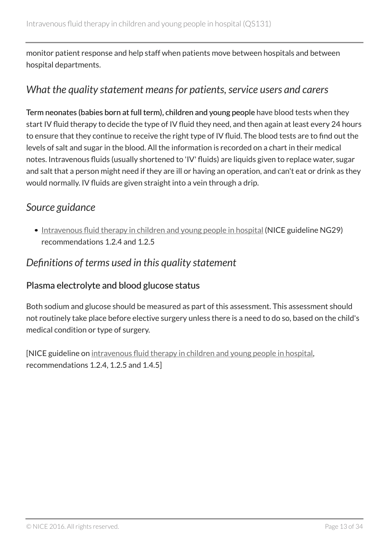monitor patient response and help staff when patients move between hospitals and between hospital departments.

### <span id="page-12-0"></span>*What the quality statement means for patients, service users and carers*

Term neonates (babies born at full term), children and young people have blood tests when they start IV fluid therapy to decide the type of IV fluid they need, and then again at least every 24 hours to ensure that they continue to receive the right type of IV fluid. The blood tests are to find out the levels of salt and sugar in the blood. All the information is recorded on a chart in their medical notes. Intravenous fluids (usually shortened to 'IV' fluids) are liquids given to replace water, sugar and salt that a person might need if they are ill or having an operation, and can't eat or drink as they would normally. IV fluids are given straight into a vein through a drip.

### <span id="page-12-1"></span>*Source guidance*

• [Intravenous fluid therapy in children and young people in hospital](http://www.nice.org.uk/guidance/ng29) (NICE guideline NG29) recommendations 1.2.4 and 1.2.5

### <span id="page-12-2"></span>*Definitions of terms used in this quality statement*

#### Plasma electrolyte and blood glucose status

Both sodium and glucose should be measured as part of this assessment. This assessment should not routinely take place before elective surgery unless there is a need to do so, based on the child's medical condition or type of surgery.

[NICE guideline on [intravenous fluid therapy in children and young people in hospital,](http://www.nice.org.uk/guidance/ng29) recommendations 1.2.4, 1.2.5 and 1.4.5]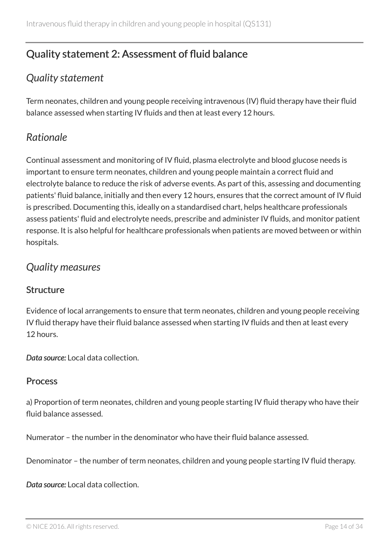# <span id="page-13-0"></span>Quality statement 2: Assessment of fluid balance

# <span id="page-13-1"></span>*Quality statement*

Term neonates, children and young people receiving intravenous (IV) fluid therapy have their fluid balance assessed when starting IV fluids and then at least every 12 hours.

### <span id="page-13-2"></span>*Rationale*

Continual assessment and monitoring of IV fluid, plasma electrolyte and blood glucose needs is important to ensure term neonates, children and young people maintain a correct fluid and electrolyte balance to reduce the risk of adverse events. As part of this, assessing and documenting patients' fluid balance, initially and then every 12 hours, ensures that the correct amount of IV fluid is prescribed. Documenting this, ideally on a standardised chart, helps healthcare professionals assess patients' fluid and electrolyte needs, prescribe and administer IV fluids, and monitor patient response. It is also helpful for healthcare professionals when patients are moved between or within hospitals.

### <span id="page-13-3"></span>*Quality measures*

#### **Structure**

Evidence of local arrangements to ensure that term neonates, children and young people receiving IV fluid therapy have their fluid balance assessed when starting IV fluids and then at least every 12 hours.

*Data source:* Local data collection.

#### Process

a) Proportion of term neonates, children and young people starting IV fluid therapy who have their fluid balance assessed.

Numerator – the number in the denominator who have their fluid balance assessed.

Denominator – the number of term neonates, children and young people starting IV fluid therapy.

*Data source:* Local data collection.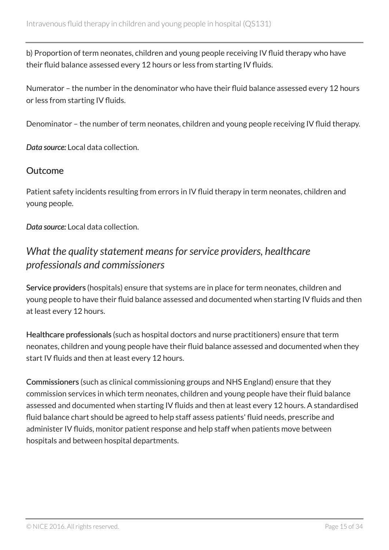b) Proportion of term neonates, children and young people receiving IV fluid therapy who have their fluid balance assessed every 12 hours or less from starting IV fluids.

Numerator – the number in the denominator who have their fluid balance assessed every 12 hours or less from starting IV fluids.

Denominator – the number of term neonates, children and young people receiving IV fluid therapy.

*Data source:* Local data collection.

#### **Outcome**

Patient safety incidents resulting from errors in IV fluid therapy in term neonates, children and young people.

*Data source:* Local data collection.

### <span id="page-14-0"></span>*What the quality statement means for service providers, healthcare professionals and commissioners*

Service providers (hospitals) ensure that systems are in place for term neonates, children and young people to have their fluid balance assessed and documented when starting IV fluids and then at least every 12 hours.

Healthcare professionals (such as hospital doctors and nurse practitioners) ensure that term neonates, children and young people have their fluid balance assessed and documented when they start IV fluids and then at least every 12 hours.

Commissioners (such as clinical commissioning groups and NHS England) ensure that they commission services in which term neonates, children and young people have their fluid balance assessed and documented when starting IV fluids and then at least every 12 hours. A standardised fluid balance chart should be agreed to help staff assess patients' fluid needs, prescribe and administer IV fluids, monitor patient response and help staff when patients move between hospitals and between hospital departments.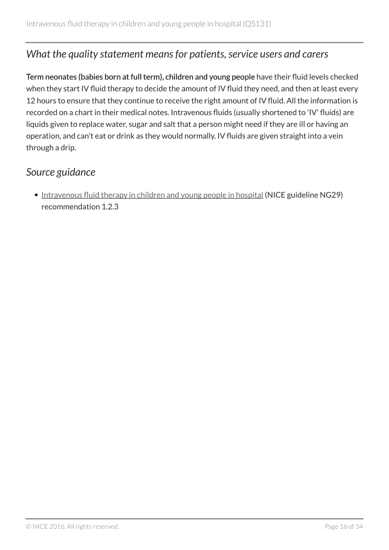### <span id="page-15-0"></span>*What the quality statement means for patients, service users and carers*

Term neonates (babies born at full term), children and young people have their fluid levels checked when they start IV fluid therapy to decide the amount of IV fluid they need, and then at least every 12 hours to ensure that they continue to receive the right amount of IV fluid. All the information is recorded on a chart in their medical notes. Intravenous fluids (usually shortened to 'IV' fluids) are liquids given to replace water, sugar and salt that a person might need if they are ill or having an operation, and can't eat or drink as they would normally. IV fluids are given straight into a vein through a drip.

### <span id="page-15-1"></span>*Source guidance*

• [Intravenous fluid therapy in children and young people in hospital](http://www.nice.org.uk/guidance/ng29) (NICE guideline NG29) recommendation 1.2.3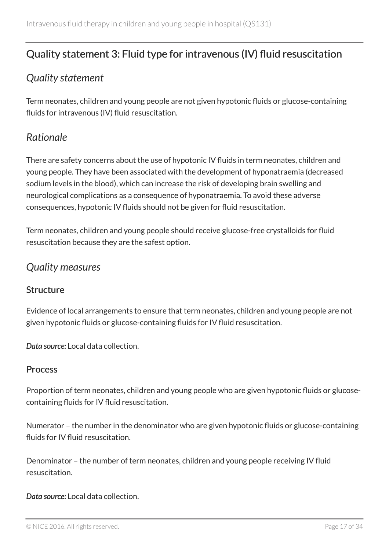# <span id="page-16-0"></span>Quality statement 3: Fluid type for intravenous (IV) fluid resuscitation

### <span id="page-16-1"></span>*Quality statement*

Term neonates, children and young people are not given hypotonic fluids or glucose-containing fluids for intravenous (IV) fluid resuscitation.

### <span id="page-16-2"></span>*Rationale*

There are safety concerns about the use of hypotonic IV fluids in term neonates, children and young people. They have been associated with the development of hyponatraemia (decreased sodium levels in the blood), which can increase the risk of developing brain swelling and neurological complications as a consequence of hyponatraemia. To avoid these adverse consequences, hypotonic IV fluids should not be given for fluid resuscitation.

Term neonates, children and young people should receive glucose-free crystalloids for fluid resuscitation because they are the safest option.

### <span id="page-16-3"></span>*Quality measures*

#### **Structure**

Evidence of local arrangements to ensure that term neonates, children and young people are not given hypotonic fluids or glucose-containing fluids for IV fluid resuscitation.

*Data source:* Local data collection.

#### Process

Proportion of term neonates, children and young people who are given hypotonic fluids or glucosecontaining fluids for IV fluid resuscitation.

Numerator – the number in the denominator who are given hypotonic fluids or glucose-containing fluids for IV fluid resuscitation.

Denominator – the number of term neonates, children and young people receiving IV fluid resuscitation.

*Data source:* Local data collection.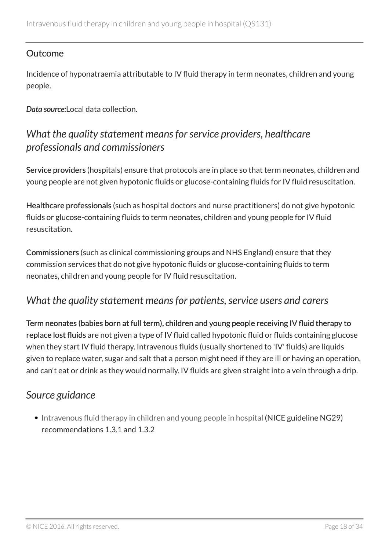#### Outcome

Incidence of hyponatraemia attributable to IV fluid therapy in term neonates, children and young people.

*Data source:*Local data collection.

### <span id="page-17-0"></span>*What the quality statement means for service providers, healthcare professionals and commissioners*

Service providers (hospitals) ensure that protocols are in place so that term neonates, children and young people are not given hypotonic fluids or glucose-containing fluids for IV fluid resuscitation.

Healthcare professionals (such as hospital doctors and nurse practitioners) do not give hypotonic fluids or glucose-containing fluids to term neonates, children and young people for IV fluid resuscitation.

Commissioners (such as clinical commissioning groups and NHS England) ensure that they commission services that do not give hypotonic fluids or glucose-containing fluids to term neonates, children and young people for IV fluid resuscitation.

### <span id="page-17-1"></span>*What the quality statement means for patients, service users and carers*

Term neonates (babies born at full term), children and young people receiving IV fluid therapy to replace lost fluids are not given a type of IV fluid called hypotonic fluid or fluids containing glucose when they start IV fluid therapy. Intravenous fluids (usually shortened to 'IV' fluids) are liquids given to replace water, sugar and salt that a person might need if they are ill or having an operation, and can't eat or drink as they would normally. IV fluids are given straight into a vein through a drip.

### <span id="page-17-2"></span>*Source guidance*

• [Intravenous fluid therapy in children and young people in hospital](http://www.nice.org.uk/guidance/ng29) (NICE guideline NG29) recommendations 1.3.1 and 1.3.2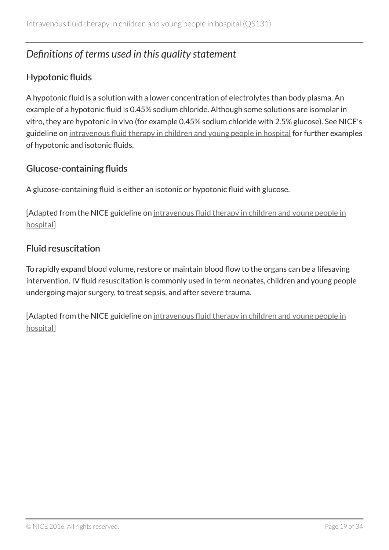# <span id="page-18-0"></span>*Definitions of terms used in this quality statement*

#### Hypotonic fluids

A hypotonic fluid is a solution with a lower concentration of electrolytes than body plasma. An example of a hypotonic fluid is 0.45% sodium chloride. Although some solutions are isomolar in vitro, they are hypotonic in vivo (for example 0.45% sodium chloride with 2.5% glucose). See NICE's guideline on [intravenous fluid therapy in children and young people in hospital](https://www.nice.org.uk/guidance/ng29/resources) for further examples of hypotonic and isotonic fluids.

#### Glucose-containing fluids

A glucose-containing fluid is either an isotonic or hypotonic fluid with glucose.

[Adapted from the NICE guideline on [intravenous fluid therapy in children and young people in](http://www.nice.org.uk/guidance/ng29) [hospital\]](http://www.nice.org.uk/guidance/ng29)

#### Fluid resuscitation

To rapidly expand blood volume, restore or maintain blood flow to the organs can be a lifesaving intervention. IV fluid resuscitation is commonly used in term neonates, children and young people undergoing major surgery, to treat sepsis, and after severe trauma.

[Adapted from the NICE guideline on [intravenous fluid therapy in children and young people in](http://www.nice.org.uk/guidance/ng29) [hospital\]](http://www.nice.org.uk/guidance/ng29)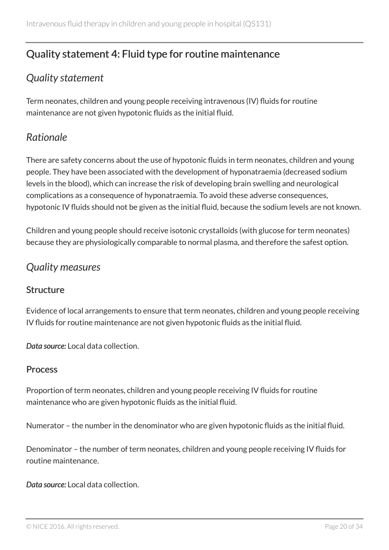# <span id="page-19-0"></span>Quality statement 4: Fluid type for routine maintenance

# <span id="page-19-1"></span>*Quality statement*

Term neonates, children and young people receiving intravenous (IV) fluids for routine maintenance are not given hypotonic fluids as the initial fluid.

### <span id="page-19-2"></span>*Rationale*

There are safety concerns about the use of hypotonic fluids in term neonates, children and young people. They have been associated with the development of hyponatraemia (decreased sodium levels in the blood), which can increase the risk of developing brain swelling and neurological complications as a consequence of hyponatraemia. To avoid these adverse consequences, hypotonic IV fluids should not be given as the initial fluid, because the sodium levels are not known.

Children and young people should receive isotonic crystalloids (with glucose for term neonates) because they are physiologically comparable to normal plasma, and therefore the safest option.

### <span id="page-19-3"></span>*Quality measures*

#### **Structure**

Evidence of local arrangements to ensure that term neonates, children and young people receiving IV fluids for routine maintenance are not given hypotonic fluids as the initial fluid.

*Data source:* Local data collection.

#### Process

Proportion of term neonates, children and young people receiving IV fluids for routine maintenance who are given hypotonic fluids as the initial fluid.

Numerator – the number in the denominator who are given hypotonic fluids as the initial fluid.

Denominator – the number of term neonates, children and young people receiving IV fluids for routine maintenance.

*Data source:* Local data collection.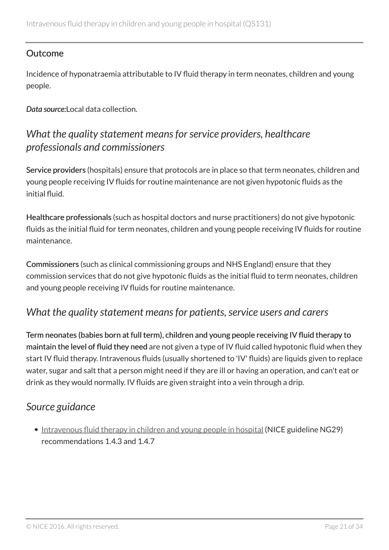#### Outcome

Incidence of hyponatraemia attributable to IV fluid therapy in term neonates, children and young people.

*Data source:*Local data collection.

### <span id="page-20-0"></span>*What the quality statement means for service providers, healthcare professionals and commissioners*

Service providers (hospitals) ensure that protocols are in place so that term neonates, children and young people receiving IV fluids for routine maintenance are not given hypotonic fluids as the initial fluid.

Healthcare professionals (such as hospital doctors and nurse practitioners) do not give hypotonic fluids as the initial fluid for term neonates, children and young people receiving IV fluids for routine maintenance.

Commissioners (such as clinical commissioning groups and NHS England) ensure that they commission services that do not give hypotonic fluids as the initial fluid to term neonates, children and young people receiving IV fluids for routine maintenance.

### <span id="page-20-1"></span>*What the quality statement means for patients, service users and carers*

Term neonates (babies born at full term), children and young people receiving IV fluid therapy to maintain the level of fluid they need are not given a type of IV fluid called hypotonic fluid when they start IV fluid therapy. Intravenous fluids (usually shortened to 'IV' fluids) are liquids given to replace water, sugar and salt that a person might need if they are ill or having an operation, and can't eat or drink as they would normally. IV fluids are given straight into a vein through a drip.

### <span id="page-20-2"></span>*Source guidance*

• [Intravenous fluid therapy in children and young people in hospital](http://www.nice.org.uk/guidance/ng29) (NICE guideline NG29) recommendations 1.4.3 and 1.4.7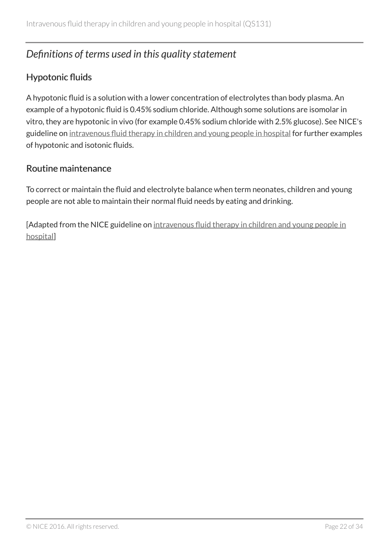# <span id="page-21-0"></span>*Definitions of terms used in this quality statement*

#### Hypotonic fluids

A hypotonic fluid is a solution with a lower concentration of electrolytes than body plasma. An example of a hypotonic fluid is 0.45% sodium chloride. Although some solutions are isomolar in vitro, they are hypotonic in vivo (for example 0.45% sodium chloride with 2.5% glucose). See NICE's guideline on [intravenous fluid therapy in children and young people in hospital](https://www.nice.org.uk/guidance/ng29/resources) for further examples of hypotonic and isotonic fluids.

#### Routine maintenance

To correct or maintain the fluid and electrolyte balance when term neonates, children and young people are not able to maintain their normal fluid needs by eating and drinking.

[Adapted from the NICE guideline on [intravenous fluid therapy in children and young people in](http://www.nice.org.uk/guidance/ng29) [hospital\]](http://www.nice.org.uk/guidance/ng29)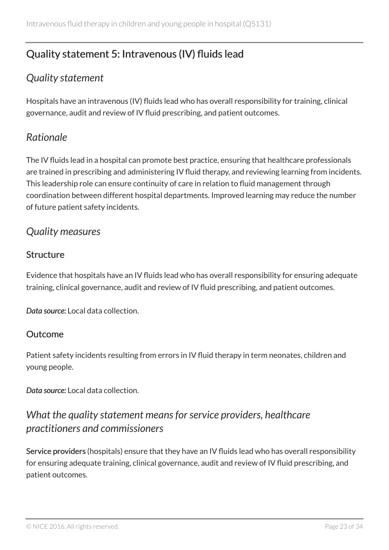# <span id="page-22-0"></span>Quality statement 5: Intravenous (IV) fluids lead

# <span id="page-22-1"></span>*Quality statement*

Hospitals have an intravenous (IV) fluids lead who has overall responsibility for training, clinical governance, audit and review of IV fluid prescribing, and patient outcomes.

### <span id="page-22-2"></span>*Rationale*

The IV fluids lead in a hospital can promote best practice, ensuring that healthcare professionals are trained in prescribing and administering IV fluid therapy, and reviewing learning from incidents. This leadership role can ensure continuity of care in relation to fluid management through coordination between different hospital departments. Improved learning may reduce the number of future patient safety incidents.

### <span id="page-22-3"></span>*Quality measures*

#### **Structure**

Evidence that hospitals have an IV fluids lead who has overall responsibility for ensuring adequate training, clinical governance, audit and review of IV fluid prescribing, and patient outcomes.

*Data source:* Local data collection.

#### Outcome

Patient safety incidents resulting from errors in IV fluid therapy in term neonates, children and young people.

*Data source:* Local data collection.

### <span id="page-22-4"></span>*What the quality statement means for service providers, healthcare practitioners and commissioners*

Service providers (hospitals) ensure that they have an IV fluids lead who has overall responsibility for ensuring adequate training, clinical governance, audit and review of IV fluid prescribing, and patient outcomes.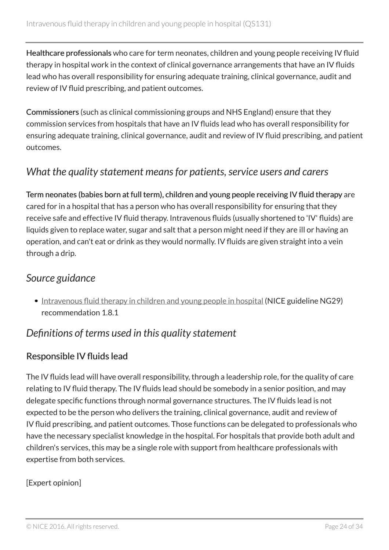Healthcare professionals who care for term neonates, children and young people receiving IV fluid therapy in hospital work in the context of clinical governance arrangements that have an IV fluids lead who has overall responsibility for ensuring adequate training, clinical governance, audit and review of IV fluid prescribing, and patient outcomes.

Commissioners (such as clinical commissioning groups and NHS England) ensure that they commission services from hospitals that have an IV fluids lead who has overall responsibility for ensuring adequate training, clinical governance, audit and review of IV fluid prescribing, and patient outcomes.

### <span id="page-23-0"></span>*What the quality statement means for patients, service users and carers*

Term neonates (babies born at full term), children and young people receiving IV fluid therapy are cared for in a hospital that has a person who has overall responsibility for ensuring that they receive safe and effective IV fluid therapy. Intravenous fluids (usually shortened to 'IV' fluids) are liquids given to replace water, sugar and salt that a person might need if they are ill or having an operation, and can't eat or drink as they would normally. IV fluids are given straight into a vein through a drip.

#### <span id="page-23-1"></span>*Source guidance*

• [Intravenous fluid therapy in children and young people in hospital](http://www.nice.org.uk/guidance/ng29) (NICE guideline NG29) recommendation 1.8.1

### <span id="page-23-2"></span>*Definitions of terms used in this quality statement*

#### Responsible IV fluids lead

The IV fluids lead will have overall responsibility, through a leadership role, for the quality of care relating to IV fluid therapy. The IV fluids lead should be somebody in a senior position, and may delegate specific functions through normal governance structures. The IV fluids lead is not expected to be the person who delivers the training, clinical governance, audit and review of IV fluid prescribing, and patient outcomes. Those functions can be delegated to professionals who have the necessary specialist knowledge in the hospital. For hospitals that provide both adult and children's services, this may be a single role with support from healthcare professionals with expertise from both services.

#### [Expert opinion]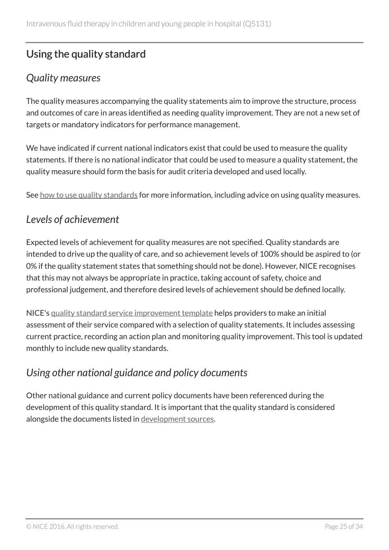# <span id="page-24-0"></span>Using the quality standard

# <span id="page-24-1"></span>*Quality measures*

The quality measures accompanying the quality statements aim to improve the structure, process and outcomes of care in areas identified as needing quality improvement. They are not a new set of targets or mandatory indicators for performance management.

We have indicated if current national indicators exist that could be used to measure the quality statements. If there is no national indicator that could be used to measure a quality statement, the quality measure should form the basis for audit criteria developed and used locally.

See [how to use quality standards](https://www.nice.org.uk/standards-and-indicators/how-to-use-quality-standards) for more information, including advice on using quality measures.

### <span id="page-24-2"></span>*Levels of achievement*

Expected levels of achievement for quality measures are not specified. Quality standards are intended to drive up the quality of care, and so achievement levels of 100% should be aspired to (or 0% if the quality statement states that something should not be done). However, NICE recognises that this may not always be appropriate in practice, taking account of safety, choice and professional judgement, and therefore desired levels of achievement should be defined locally.

NICE's [quality standard service improvement template](http://www.nice.org.uk/about/what-we-do/into-practice/audit-and-service-improvement) helps providers to make an initial assessment of their service compared with a selection of quality statements. It includes assessing current practice, recording an action plan and monitoring quality improvement. This tool is updated monthly to include new quality standards.

# <span id="page-24-3"></span>*Using other national guidance and policy documents*

Other national guidance and current policy documents have been referenced during the development of this quality standard. It is important that the quality standard is considered alongside the documents listed in [development sources](#page-26-0).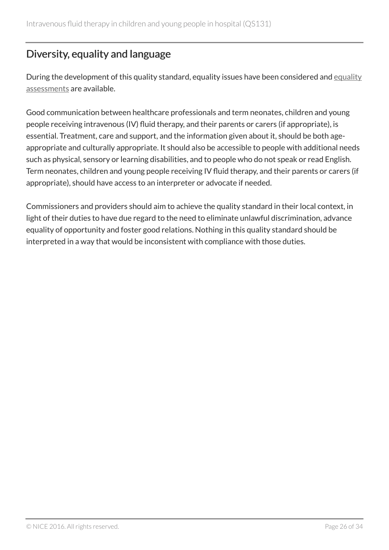# <span id="page-25-0"></span>Diversity, equality and language

During the development of this quality standard, [equality](https://www.nice.org.uk/guidance/qs131/documents) issues have been considered and equality [assessments](https://www.nice.org.uk/guidance/qs131/documents) are available.

Good communication between healthcare professionals and term neonates, children and young people receiving intravenous (IV) fluid therapy, and their parents or carers (if appropriate), is essential. Treatment, care and support, and the information given about it, should be both ageappropriate and culturally appropriate. It should also be accessible to people with additional needs such as physical, sensory or learning disabilities, and to people who do not speak or read English. Term neonates, children and young people receiving IV fluid therapy, and their parents or carers (if appropriate), should have access to an interpreter or advocate if needed.

Commissioners and providers should aim to achieve the quality standard in their local context, in light of their duties to have due regard to the need to eliminate unlawful discrimination, advance equality of opportunity and foster good relations. Nothing in this quality standard should be interpreted in a way that would be inconsistent with compliance with those duties.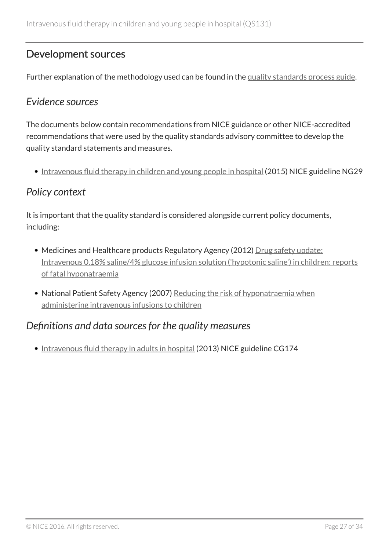### <span id="page-26-0"></span>Development sources

Further explanation of the methodology used can be found in the [quality standards process guide](https://www.nice.org.uk/standards-and-indicators/timeline-developing-quality-standards).

### <span id="page-26-1"></span>*Evidence sources*

The documents below contain recommendations from NICE guidance or other NICE-accredited recommendations that were used by the quality standards advisory committee to develop the quality standard statements and measures.

• [Intravenous fluid therapy in children and young people in hospital](http://www.nice.org.uk/guidance/ng29) (2015) NICE guideline NG29

### <span id="page-26-2"></span>*Policy context*

It is important that the quality standard is considered alongside current policy documents, including:

- Medicines and Healthcare products Regulatory Agency (2012) [Drug safety update:](https://www.gov.uk/drug-safety-update/intravenous-0-18-saline-4-glucose-solution-hypotonic-saline-in-children-reports-of-fatal-hyponatraemia) [Intravenous 0.18% saline/4% glucose infusion solution \('hypotonic saline'\) in children: reports](https://www.gov.uk/drug-safety-update/intravenous-0-18-saline-4-glucose-solution-hypotonic-saline-in-children-reports-of-fatal-hyponatraemia) [of fatal hyponatraemia](https://www.gov.uk/drug-safety-update/intravenous-0-18-saline-4-glucose-solution-hypotonic-saline-in-children-reports-of-fatal-hyponatraemia)
- National Patient Safety Agency (2007) [Reducing the risk of hyponatraemia when](http://www.nrls.npsa.nhs.uk/resources/?EntryId45=59809) [administering intravenous infusions to children](http://www.nrls.npsa.nhs.uk/resources/?EntryId45=59809)

### <span id="page-26-3"></span>*Definitions and data sources for the quality measures*

• [Intravenous fluid therapy in adults in hospital](http://www.nice.org.uk/guidance/cg174) (2013) NICE guideline CG174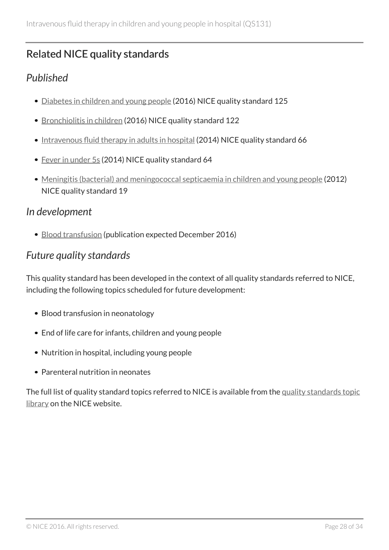# <span id="page-27-0"></span>Related NICE quality standards

### <span id="page-27-1"></span>*Published*

- [Diabetes in children and young people](http://www.nice.org.uk/guidance/qs125) (2016) NICE quality standard 125
- [Bronchiolitis in children](http://www.nice.org.uk/guidance/qs122) (2016) NICE quality standard 122
- [Intravenous fluid therapy in adults in hospital](http://www.nice.org.uk/guidance/qs66) (2014) NICE quality standard 66
- [Fever in under](http://www.nice.org.uk/guidance/qs64) 5s (2014) NICE quality standard 64
- [Meningitis \(bacterial\) and meningococcal septicaemia in children and young people](http://www.nice.org.uk/guidance/qs19) (2012) NICE quality standard 19

### <span id="page-27-2"></span>*In development*

• [Blood transfusion](http://www.nice.org.uk/guidance/indevelopment/gid-qs10005) (publication expected December 2016)

### <span id="page-27-3"></span>*Future quality standards*

This quality standard has been developed in the context of all quality standards referred to NICE, including the following topics scheduled for future development:

- Blood transfusion in neonatology
- End of life care for infants, children and young people
- Nutrition in hospital, including young people
- Parenteral nutrition in neonates

The full list of quality standard topics referred to NICE is available from the [quality standards topic](http://www.nice.org.uk/Standards-and-Indicators/Developing-NICE-quality-standards-/Quality-standards-topic-library) [library](http://www.nice.org.uk/Standards-and-Indicators/Developing-NICE-quality-standards-/Quality-standards-topic-library) on the NICE website.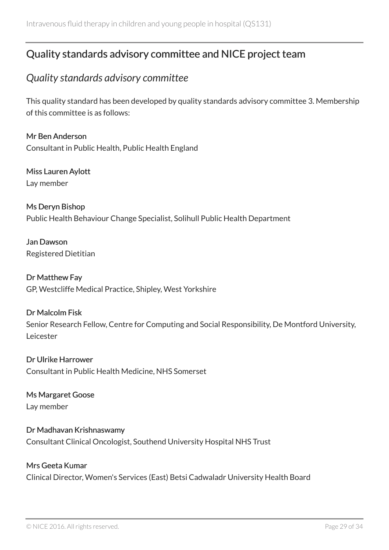# <span id="page-28-0"></span>Quality standards advisory committee and NICE project team

### <span id="page-28-1"></span>*Quality standards advisory committee*

This quality standard has been developed by quality standards advisory committee 3. Membership of this committee is as follows:

Mr Ben Anderson Consultant in Public Health, Public Health England

Miss Lauren Aylott Lay member

Ms Deryn Bishop Public Health Behaviour Change Specialist, Solihull Public Health Department

Jan Dawson Registered Dietitian

Dr Matthew Fay GP, Westcliffe Medical Practice, Shipley, West Yorkshire

#### Dr Malcolm Fisk

Senior Research Fellow, Centre for Computing and Social Responsibility, De Montford University, Leicester

Dr Ulrike Harrower Consultant in Public Health Medicine, NHS Somerset

Ms Margaret Goose Lay member

Dr Madhavan Krishnaswamy Consultant Clinical Oncologist, Southend University Hospital NHS Trust

#### Mrs Geeta Kumar

Clinical Director, Women's Services (East) Betsi Cadwaladr University Health Board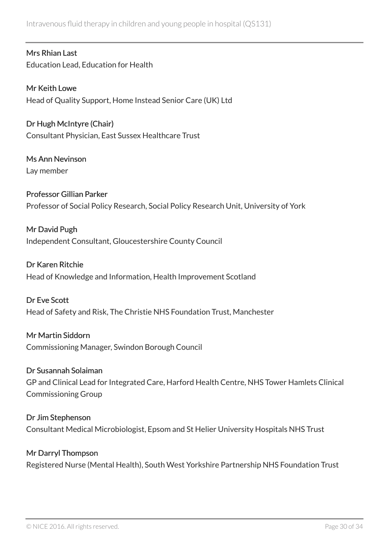Intravenous fluid therapy in children and young people in hospital (QS131)

Mrs Rhian Last Education Lead, Education for Health

Mr Keith Lowe Head of Quality Support, Home Instead Senior Care (UK) Ltd

Dr Hugh McIntyre (Chair) Consultant Physician, East Sussex Healthcare Trust

Ms Ann Nevinson Lay member

Professor Gillian Parker Professor of Social Policy Research, Social Policy Research Unit, University of York

Mr David Pugh Independent Consultant, Gloucestershire County Council

Dr Karen Ritchie Head of Knowledge and Information, Health Improvement Scotland

Dr Eve Scott Head of Safety and Risk, The Christie NHS Foundation Trust, Manchester

Mr Martin Siddorn Commissioning Manager, Swindon Borough Council

Dr Susannah Solaiman GP and Clinical Lead for Integrated Care, Harford Health Centre, NHS Tower Hamlets Clinical Commissioning Group

Dr Jim Stephenson Consultant Medical Microbiologist, Epsom and St Helier University Hospitals NHS Trust

Mr Darryl Thompson Registered Nurse (Mental Health), South West Yorkshire Partnership NHS Foundation Trust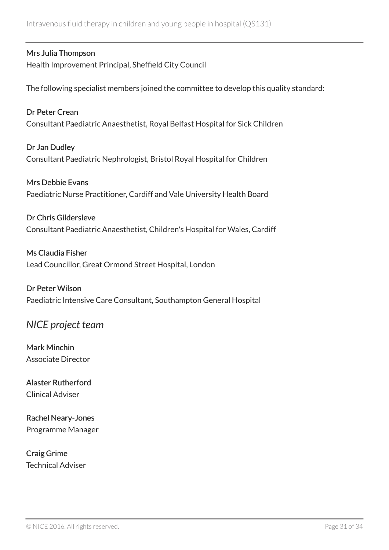#### Mrs Julia Thompson

Health Improvement Principal, Sheffield City Council

The following specialist members joined the committee to develop this quality standard:

Dr Peter Crean Consultant Paediatric Anaesthetist, Royal Belfast Hospital for Sick Children

Dr Jan Dudley Consultant Paediatric Nephrologist, Bristol Royal Hospital for Children

Mrs Debbie Evans Paediatric Nurse Practitioner, Cardiff and Vale University Health Board

Dr Chris Gildersleve Consultant Paediatric Anaesthetist, Children's Hospital for Wales, Cardiff

Ms Claudia Fisher Lead Councillor, Great Ormond Street Hospital, London

Dr Peter Wilson Paediatric Intensive Care Consultant, Southampton General Hospital

### <span id="page-30-0"></span>*NICE project team*

Mark Minchin Associate Director

Alaster Rutherford Clinical Adviser

Rachel Neary-Jones Programme Manager

Craig Grime Technical Adviser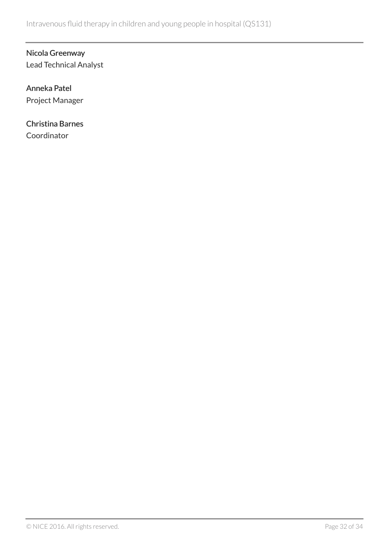#### Nicola Greenway Lead Technical Analyst

#### Anneka Patel Project Manager

#### Christina Barnes **Coordinator**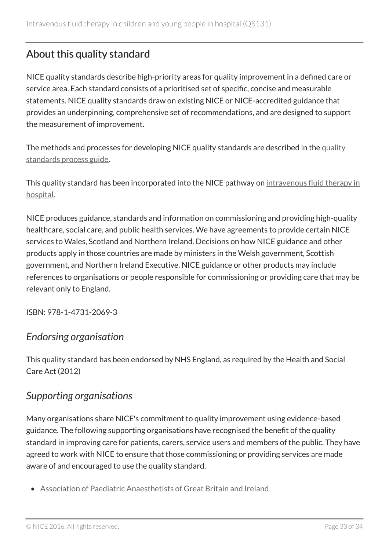# <span id="page-32-0"></span>About this quality standard

NICE quality standards describe high-priority areas for quality improvement in a defined care or service area. Each standard consists of a prioritised set of specific, concise and measurable statements. NICE quality standards draw on existing NICE or NICE-accredited guidance that provides an underpinning, comprehensive set of recommendations, and are designed to support the measurement of improvement.

The methods and processes for developing NICE quality standards are described in the [quality](https://www.nice.org.uk/standards-and-indicators/timeline-developing-quality-standards) [standards process guide.](https://www.nice.org.uk/standards-and-indicators/timeline-developing-quality-standards)

This quality standard has been incorporated into the NICE pathway on [intravenous fluid therapy in](http://pathways.nice.org.uk/pathways/intravenous-fluid-therapy-in-hospital) [hospital.](http://pathways.nice.org.uk/pathways/intravenous-fluid-therapy-in-hospital)

NICE produces guidance, standards and information on commissioning and providing high-quality healthcare, social care, and public health services. We have agreements to provide certain NICE services to Wales, Scotland and Northern Ireland. Decisions on how NICE guidance and other products apply in those countries are made by ministers in the Welsh government, Scottish government, and Northern Ireland Executive. NICE guidance or other products may include references to organisations or people responsible for commissioning or providing care that may be relevant only to England.

ISBN: 978-1-4731-2069-3

### *Endorsing organisation*

This quality standard has been endorsed by NHS England, as required by the Health and Social Care Act (2012)

### *Supporting organisations*

Many organisations share NICE's commitment to quality improvement using evidence-based guidance. The following supporting organisations have recognised the benefit of the quality standard in improving care for patients, carers, service users and members of the public. They have agreed to work with NICE to ensure that those commissioning or providing services are made aware of and encouraged to use the quality standard.

• [Association of Paediatric Anaesthetists of Great Britain and Ireland](http://www.apagbi.org.uk/)